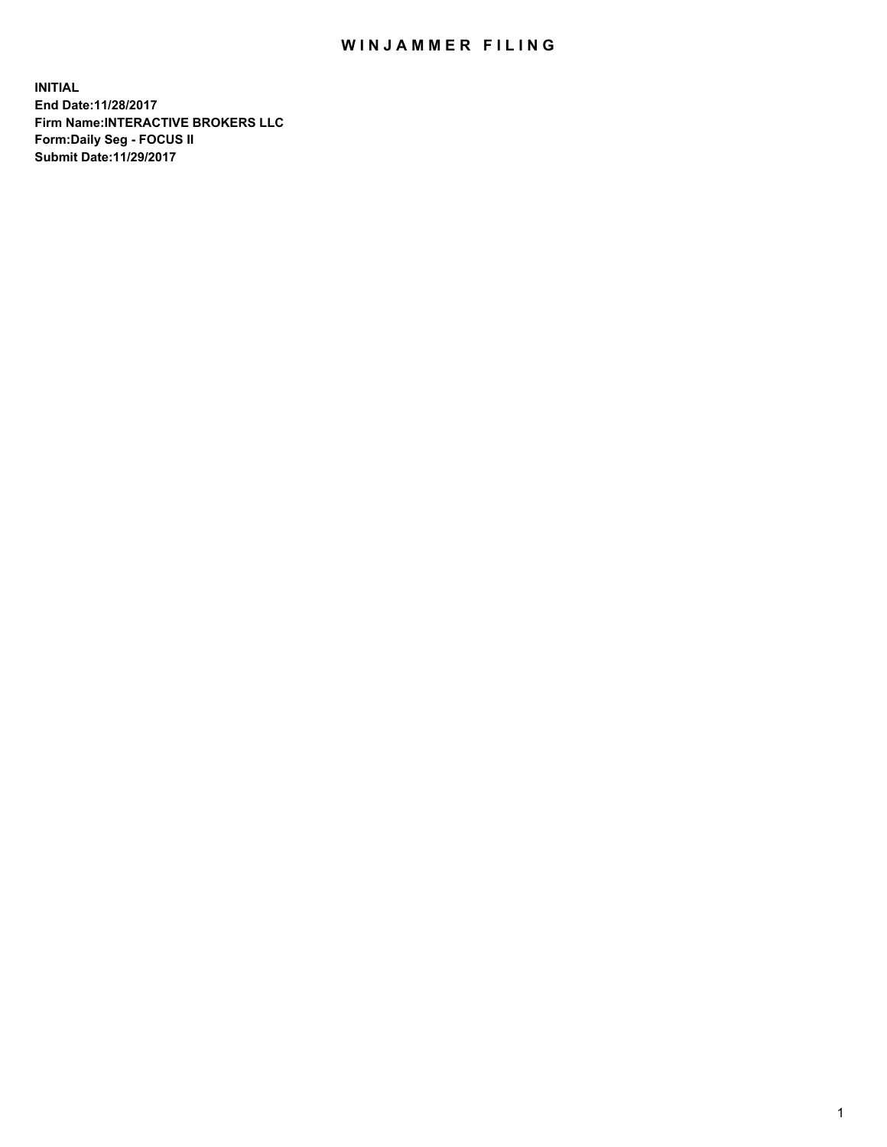## WIN JAMMER FILING

**INITIAL End Date:11/28/2017 Firm Name:INTERACTIVE BROKERS LLC Form:Daily Seg - FOCUS II Submit Date:11/29/2017**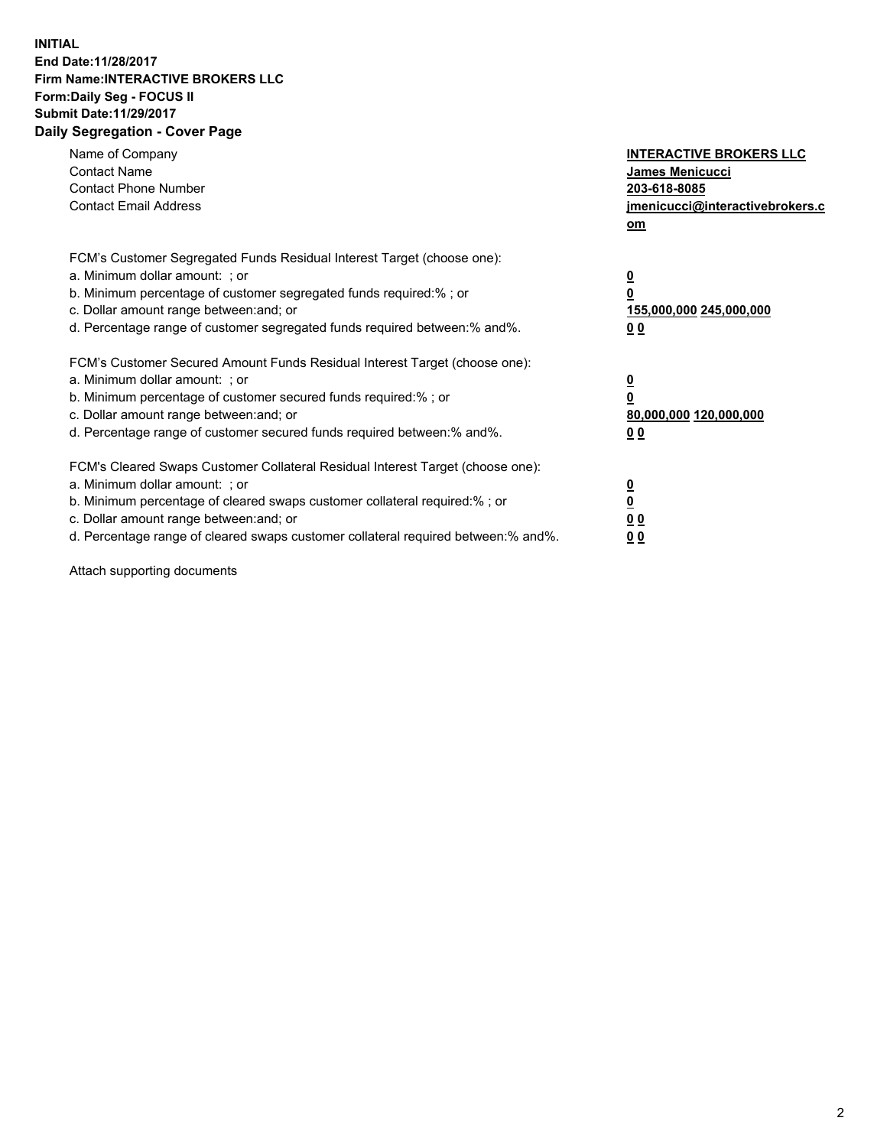## **INITIAL End Date:11/28/2017 Firm Name:INTERACTIVE BROKERS LLC Form:Daily Seg - FOCUS II Submit Date:11/29/2017 Daily Segregation - Cover Page**

| Name of Company<br><b>Contact Name</b><br><b>Contact Phone Number</b><br><b>Contact Email Address</b>                                                                                                                                                                                                                          | <b>INTERACTIVE BROKERS LLC</b><br><b>James Menicucci</b><br>203-618-8085<br>jmenicucci@interactivebrokers.c<br>om |
|--------------------------------------------------------------------------------------------------------------------------------------------------------------------------------------------------------------------------------------------------------------------------------------------------------------------------------|-------------------------------------------------------------------------------------------------------------------|
| FCM's Customer Segregated Funds Residual Interest Target (choose one):<br>a. Minimum dollar amount: ; or<br>b. Minimum percentage of customer segregated funds required:%; or<br>c. Dollar amount range between: and; or<br>d. Percentage range of customer segregated funds required between:% and%.                          | $\overline{\mathbf{0}}$<br>0<br>155,000,000 245,000,000<br>00                                                     |
| FCM's Customer Secured Amount Funds Residual Interest Target (choose one):<br>a. Minimum dollar amount: ; or<br>b. Minimum percentage of customer secured funds required:%; or<br>c. Dollar amount range between: and; or<br>d. Percentage range of customer secured funds required between: % and %.                          | $\overline{\mathbf{0}}$<br>0<br>80,000,000 120,000,000<br>0 <sub>0</sub>                                          |
| FCM's Cleared Swaps Customer Collateral Residual Interest Target (choose one):<br>a. Minimum dollar amount: ; or<br>b. Minimum percentage of cleared swaps customer collateral required:% ; or<br>c. Dollar amount range between: and; or<br>d. Percentage range of cleared swaps customer collateral required between:% and%. | $\overline{\mathbf{0}}$<br>$\overline{\mathbf{0}}$<br>0 <sub>0</sub><br><u>00</u>                                 |

Attach supporting documents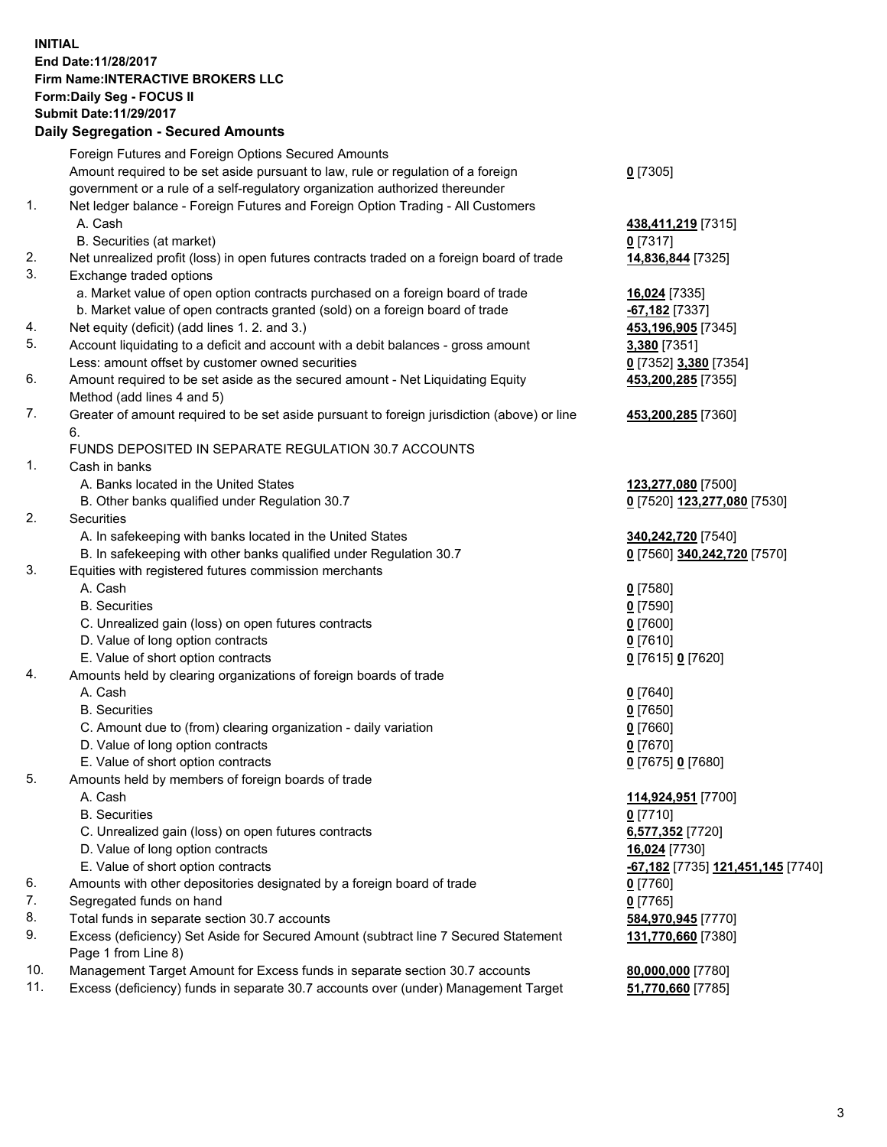## **INITIAL End Date:11/28/2017 Firm Name:INTERACTIVE BROKERS LLC Form:Daily Seg - FOCUS II Submit Date:11/29/2017**<br>**Daily Segregation - Secured Amounts Daily Segregation - Secure**

|     | Daily Segregation - Secured Amounts                                                         |                                                       |
|-----|---------------------------------------------------------------------------------------------|-------------------------------------------------------|
|     | Foreign Futures and Foreign Options Secured Amounts                                         |                                                       |
|     | Amount required to be set aside pursuant to law, rule or regulation of a foreign            | $0$ [7305]                                            |
|     | government or a rule of a self-regulatory organization authorized thereunder                |                                                       |
| 1.  | Net ledger balance - Foreign Futures and Foreign Option Trading - All Customers             |                                                       |
|     | A. Cash                                                                                     | 438,411,219 [7315]                                    |
|     | B. Securities (at market)                                                                   | $0$ [7317]                                            |
| 2.  |                                                                                             | 14,836,844 [7325]                                     |
| 3.  | Net unrealized profit (loss) in open futures contracts traded on a foreign board of trade   |                                                       |
|     | Exchange traded options                                                                     |                                                       |
|     | a. Market value of open option contracts purchased on a foreign board of trade              | 16,024 [7335]                                         |
|     | b. Market value of open contracts granted (sold) on a foreign board of trade                | $-67,182$ [7337]                                      |
| 4.  | Net equity (deficit) (add lines 1.2. and 3.)                                                | 453,196,905 [7345]                                    |
| 5.  | Account liquidating to a deficit and account with a debit balances - gross amount           | 3,380 [7351]                                          |
|     | Less: amount offset by customer owned securities                                            | 0 [7352] 3,380 [7354]                                 |
| 6.  | Amount required to be set aside as the secured amount - Net Liquidating Equity              | 453,200,285 [7355]                                    |
|     | Method (add lines 4 and 5)                                                                  |                                                       |
| 7.  | Greater of amount required to be set aside pursuant to foreign jurisdiction (above) or line | 453,200,285 [7360]                                    |
|     | 6.                                                                                          |                                                       |
|     | FUNDS DEPOSITED IN SEPARATE REGULATION 30.7 ACCOUNTS                                        |                                                       |
| 1.  | Cash in banks                                                                               |                                                       |
|     | A. Banks located in the United States                                                       | 123,277,080 [7500]                                    |
|     | B. Other banks qualified under Regulation 30.7                                              | 0 [7520] 123,277,080 [7530]                           |
| 2.  | Securities                                                                                  |                                                       |
|     | A. In safekeeping with banks located in the United States                                   | 340, 242, 720 [7540]                                  |
|     | B. In safekeeping with other banks qualified under Regulation 30.7                          | 0 [7560] 340,242,720 [7570]                           |
| 3.  | Equities with registered futures commission merchants                                       |                                                       |
|     | A. Cash                                                                                     | $0$ [7580]                                            |
|     | <b>B.</b> Securities                                                                        |                                                       |
|     |                                                                                             | $0$ [7590]                                            |
|     | C. Unrealized gain (loss) on open futures contracts                                         | $0$ [7600]                                            |
|     | D. Value of long option contracts                                                           | $0$ [7610]                                            |
|     | E. Value of short option contracts                                                          | 0 [7615] 0 [7620]                                     |
| 4.  | Amounts held by clearing organizations of foreign boards of trade                           |                                                       |
|     | A. Cash                                                                                     | $0$ [7640]                                            |
|     | <b>B.</b> Securities                                                                        | $0$ [7650]                                            |
|     | C. Amount due to (from) clearing organization - daily variation                             | $0$ [7660]                                            |
|     | D. Value of long option contracts                                                           | $0$ [7670]                                            |
|     | E. Value of short option contracts                                                          | 0 [7675] 0 [7680]                                     |
| 5.  | Amounts held by members of foreign boards of trade                                          |                                                       |
|     | A. Cash                                                                                     | 114,924,951 [7700]                                    |
|     | <b>B.</b> Securities                                                                        | $0$ [7710]                                            |
|     | C. Unrealized gain (loss) on open futures contracts                                         | 6,577,352 [7720]                                      |
|     | D. Value of long option contracts                                                           | 16,024 [7730]                                         |
|     | E. Value of short option contracts                                                          | <mark>-67,182</mark> [7735] <b>121,451,145</b> [7740] |
| 6.  | Amounts with other depositories designated by a foreign board of trade                      | $0$ [7760]                                            |
| 7.  | Segregated funds on hand                                                                    | $0$ [7765]                                            |
| 8.  | Total funds in separate section 30.7 accounts                                               | 584,970,945 [7770]                                    |
| 9.  | Excess (deficiency) Set Aside for Secured Amount (subtract line 7 Secured Statement         | 131,770,660 [7380]                                    |
|     | Page 1 from Line 8)                                                                         |                                                       |
|     |                                                                                             |                                                       |
| 10. | Management Target Amount for Excess funds in separate section 30.7 accounts                 | 80,000,000 [7780]                                     |
| 11. | Excess (deficiency) funds in separate 30.7 accounts over (under) Management Target          | 51,770,660 [7785]                                     |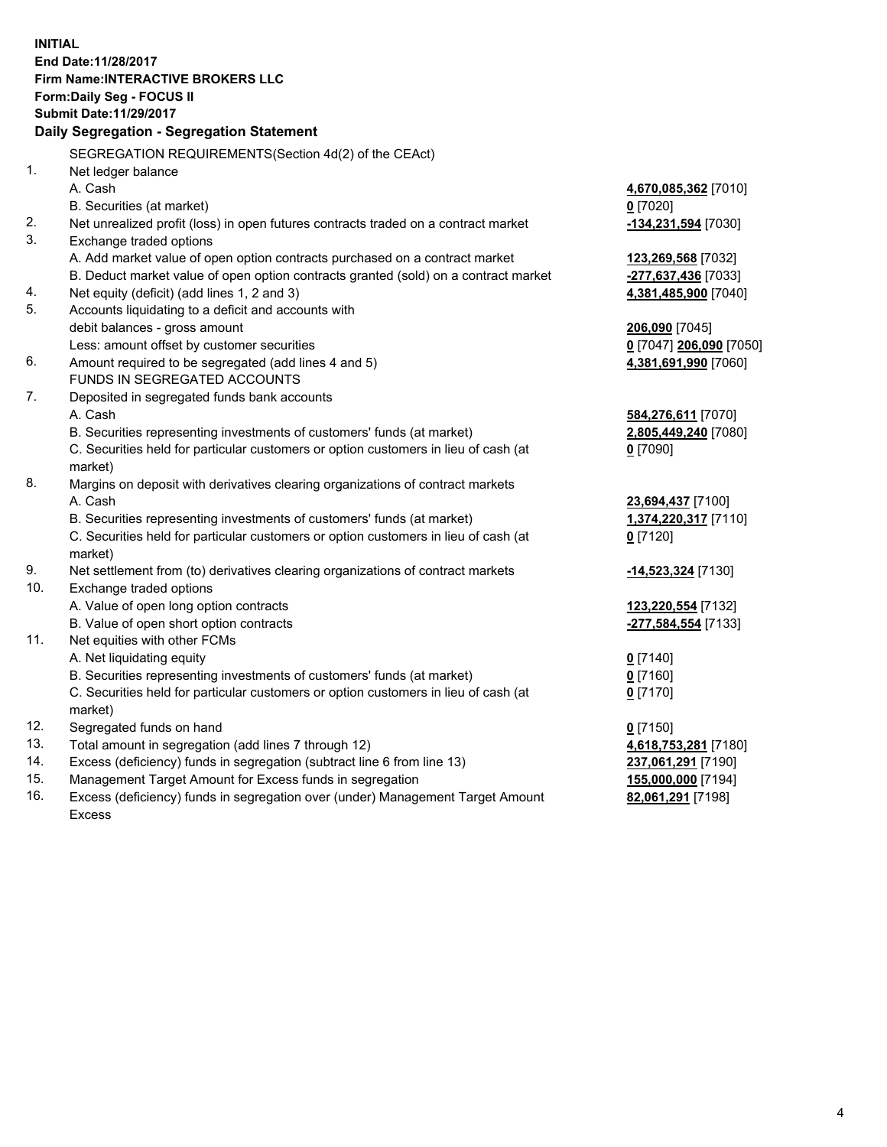**INITIAL End Date:11/28/2017 Firm Name:INTERACTIVE BROKERS LLC Form:Daily Seg - FOCUS II Submit Date:11/29/2017 Daily Segregation - Segregation Statement** SEGREGATION REQUIREMENTS(Section 4d(2) of the CEAct) 1. Net ledger balance A. Cash **4,670,085,362** [7010] B. Securities (at market) **0** [7020] 2. Net unrealized profit (loss) in open futures contracts traded on a contract market **-134,231,594** [7030] 3. Exchange traded options A. Add market value of open option contracts purchased on a contract market **123,269,568** [7032] B. Deduct market value of open option contracts granted (sold) on a contract market **-277,637,436** [7033] 4. Net equity (deficit) (add lines 1, 2 and 3) **4,381,485,900** [7040] 5. Accounts liquidating to a deficit and accounts with debit balances - gross amount **206,090** [7045] Less: amount offset by customer securities **0** [7047] **206,090** [7050] 6. Amount required to be segregated (add lines 4 and 5) **4,381,691,990** [7060] FUNDS IN SEGREGATED ACCOUNTS 7. Deposited in segregated funds bank accounts A. Cash **584,276,611** [7070] B. Securities representing investments of customers' funds (at market) **2,805,449,240** [7080] C. Securities held for particular customers or option customers in lieu of cash (at market) **0** [7090] 8. Margins on deposit with derivatives clearing organizations of contract markets A. Cash **23,694,437** [7100] B. Securities representing investments of customers' funds (at market) **1,374,220,317** [7110] C. Securities held for particular customers or option customers in lieu of cash (at market) **0** [7120] 9. Net settlement from (to) derivatives clearing organizations of contract markets **-14,523,324** [7130] 10. Exchange traded options A. Value of open long option contracts **123,220,554** [7132] B. Value of open short option contracts **-277,584,554** [7133] 11. Net equities with other FCMs A. Net liquidating equity **0** [7140] B. Securities representing investments of customers' funds (at market) **0** [7160] C. Securities held for particular customers or option customers in lieu of cash (at market) **0** [7170] 12. Segregated funds on hand **0** [7150] 13. Total amount in segregation (add lines 7 through 12) **4,618,753,281** [7180] 14. Excess (deficiency) funds in segregation (subtract line 6 from line 13) **237,061,291** [7190] 15. Management Target Amount for Excess funds in segregation **155,000,000** [7194] **82,061,291** [7198]

16. Excess (deficiency) funds in segregation over (under) Management Target Amount Excess